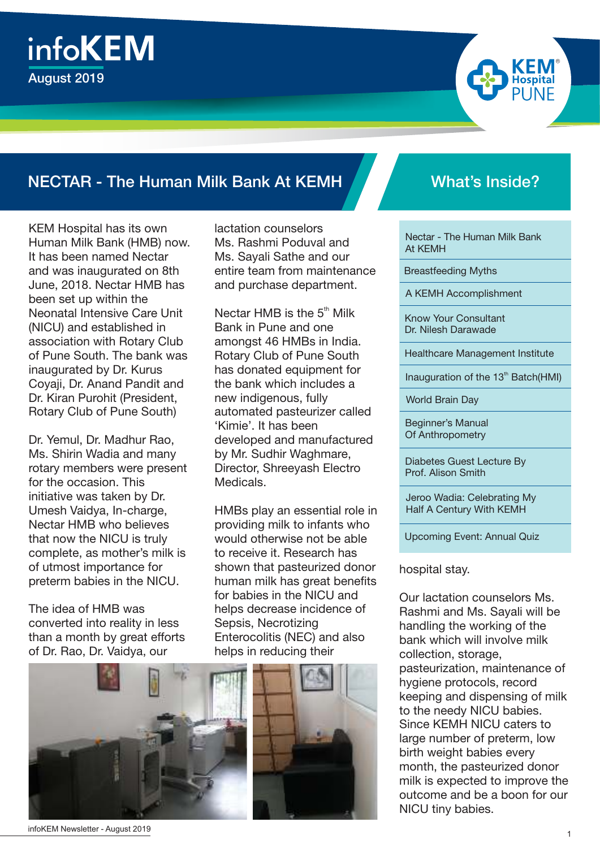



KEM Hospital has its own Human Milk Bank (HMB) now. It has been named Nectar and was inaugurated on 8th June, 2018. Nectar HMB has been set up within the Neonatal Intensive Care Unit (NICU) and established in association with Rotary Club of Pune South. The bank was inaugurated by Dr. Kurus Coyaji, Dr. Anand Pandit and Dr. Kiran Purohit (President, Rotary Club of Pune South)

Dr. Yemul, Dr. Madhur Rao, Ms. Shirin Wadia and many rotary members were present for the occasion. This initiative was taken by Dr. Umesh Vaidya, In-charge, Nectar HMB who believes that now the NICU is truly complete, as mother's milk is of utmost importance for preterm babies in the NICU.

The idea of HMB was converted into reality in less than a month by great efforts of Dr. Rao, Dr. Vaidya, our



lactation counselors Ms. Rashmi Poduval and Ms. Sayali Sathe and our entire team from maintenance and purchase department.

Nectar HMB is the  $5<sup>th</sup>$  Milk Bank in Pune and one amongst 46 HMBs in India. Rotary Club of Pune South has donated equipment for the bank which includes a new indigenous, fully automated pasteurizer called 'Kimie'. It has been developed and manufactured by Mr. Sudhir Waghmare, Director, Shreeyash Electro Medicals.

HMBs play an essential role in providing milk to infants who would otherwise not be able to receive it. Research has shown that pasteurized donor human milk has great benefits for babies in the NICU and helps decrease incidence of Sepsis, Necrotizing Enterocolitis (NEC) and also helps in reducing their



R

Nectar - The Human Milk Bank At KEMH

Breastfeeding Myths

A KEMH Accomplishment

Know Your Consultant Dr. Nilesh Darawade

Healthcare Management Institute

Inauguration of the 13<sup>th</sup> Batch(HMI)

World Brain Day

Beginner's Manual Of Anthropometry

Diabetes Guest Lecture By Prof. Alison Smith

Jeroo Wadia: Celebrating My Half A Century With KEMH

Upcoming Event: Annual Quiz

hospital stay.

Our lactation counselors Ms. Rashmi and Ms. Sayali will be handling the working of the bank which will involve milk collection, storage, pasteurization, maintenance of hygiene protocols, record keeping and dispensing of milk to the needy NICU babies. Since KEMH NICU caters to large number of preterm, low birth weight babies every month, the pasteurized donor milk is expected to improve the outcome and be a boon for our NICU tiny babies.

infoKEM Newsletter - August 2019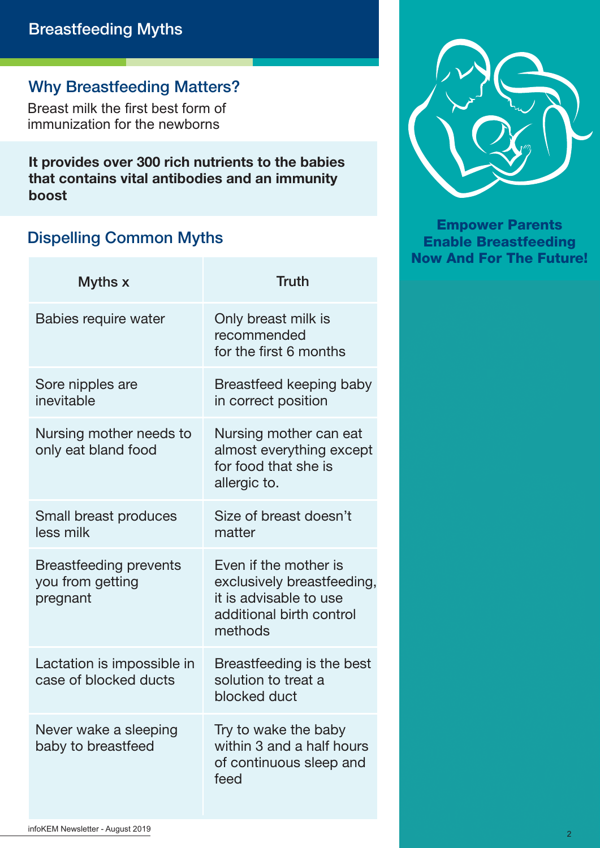#### Why Breastfeeding Matters?

Breast milk the first best form of immunization for the newborns

It provides over 300 rich nutrients to the babies that contains vital antibodies and an immunity boost

#### Dispelling Common Myths

| Myths x                                                       | <b>Truth</b>                                                                                                         |
|---------------------------------------------------------------|----------------------------------------------------------------------------------------------------------------------|
| <b>Babies require water</b>                                   | Only breast milk is<br>recommended<br>for the first 6 months                                                         |
| Sore nipples are<br>inevitable                                | Breastfeed keeping baby<br>in correct position                                                                       |
| Nursing mother needs to<br>only eat bland food                | Nursing mother can eat<br>almost everything except<br>for food that she is<br>allergic to.                           |
| Small breast produces<br>less milk                            | Size of breast doesn't<br>matter                                                                                     |
| <b>Breastfeeding prevents</b><br>you from getting<br>pregnant | Even if the mother is<br>exclusively breastfeeding,<br>it is advisable to use<br>additional birth control<br>methods |
| Lactation is impossible in<br>case of blocked ducts           | Breastfeeding is the best<br>solution to treat a<br>blocked duct                                                     |
| Never wake a sleeping<br>baby to breastfeed                   | Try to wake the baby<br>within 3 and a half hours<br>of continuous sleep and<br>feed                                 |



Empower Parents Enable Breastfeeding Now And For The Future!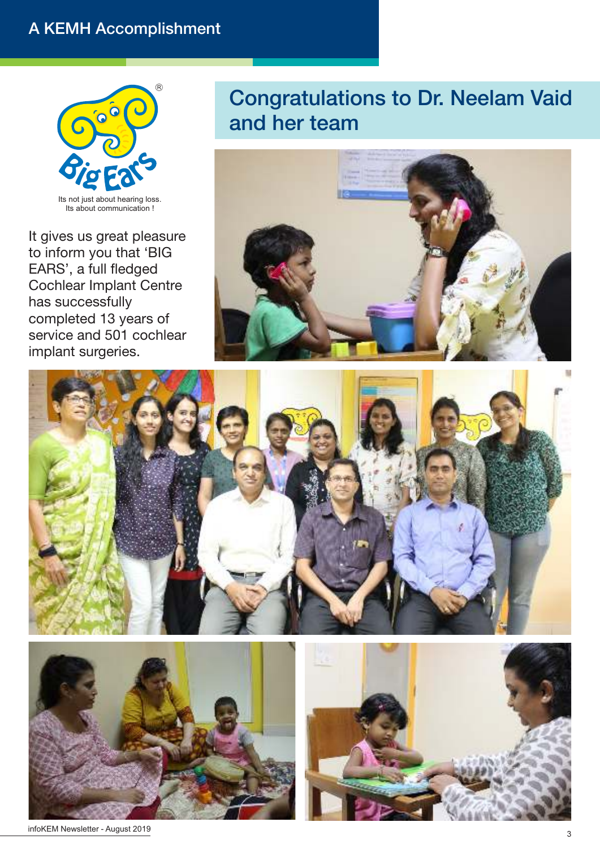#### A KEMH Accomplishment



It gives us great pleasure to inform you that 'BIG EARS', a full fledged Cochlear Implant Centre has successfully completed 13 years of service and 501 cochlear implant surgeries.

### Congratulations to Dr. Neelam Vaid and her team









infoKEM Newsletter - August 2019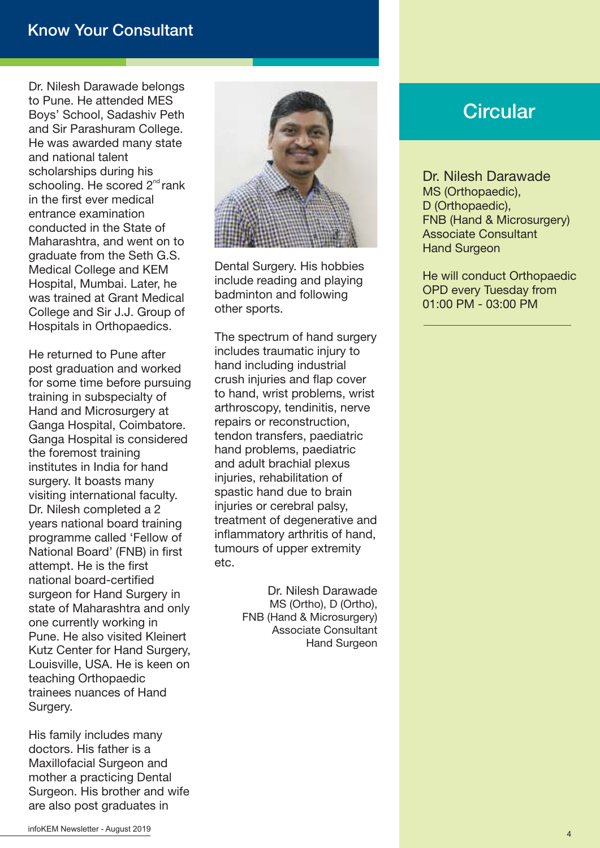#### Know Your Consultant

Dr. Nilesh Darawade belongs to Pune. He attended MES Boys' School, Sadashiv Peth and Sir Parashuram College. He was awarded many state and national talent scholarships during his schooling. He scored 2<sup>nd</sup> rank in the first ever medical entrance examination conducted in the State of Maharashtra, and went on to graduate from the Seth G.S. Medical College and KEM Hospital, Mumbai. Later, he was trained at Grant Medical College and Sir J.J. Group of Hospitals in Orthopaedics.

He returned to Pune after post graduation and worked for some time before pursuing training in subspecialty of Hand and Microsurgery at Ganga Hospital, Coimbatore. Ganga Hospital is considered the foremost training institutes in India for hand surgery. It boasts many visiting international faculty. Dr. Nilesh completed a 2 years national board training programme called 'Fellow of National Board' (FNB) in first attempt. He is the first national board-certified surgeon for Hand Surgery in state of Maharashtra and only one currently working in Pune. He also visited Kleinert Kutz Center for Hand Surgery, Louisville, USA. He is keen on teaching Orthopaedic trainees nuances of Hand Surgery.

His family includes many doctors. His father is a Maxillofacial Surgeon and mother a practicing Dental Surgeon. His brother and wife are also post graduates in



Dental Surgery. His hobbies include reading and playing badminton and following other sports.

The spectrum of hand surgery includes traumatic injury to hand including industrial crush injuries and flap cover to hand, wrist problems, wrist arthroscopy, tendinitis, nerve repairs or reconstruction, tendon transfers, paediatric hand problems, paediatric and adult brachial plexus injuries, rehabilitation of spastic hand due to brain injuries or cerebral palsy, treatment of degenerative and inflammatory arthritis of hand, tumours of upper extremity etc.

> Dr. Nilesh Darawade MS (Ortho), D (Ortho), FNB (Hand & Microsurgery) Associate Consultant Hand Surgeon

#### **Circular**

Dr. Nilesh Darawade MS (Orthopaedic), D (Orthopaedic), FNB (Hand & Microsurgery) Associate Consultant Hand Surgeon

He will conduct Orthopaedic OPD every Tuesday from 01:00 PM - 03:00 PM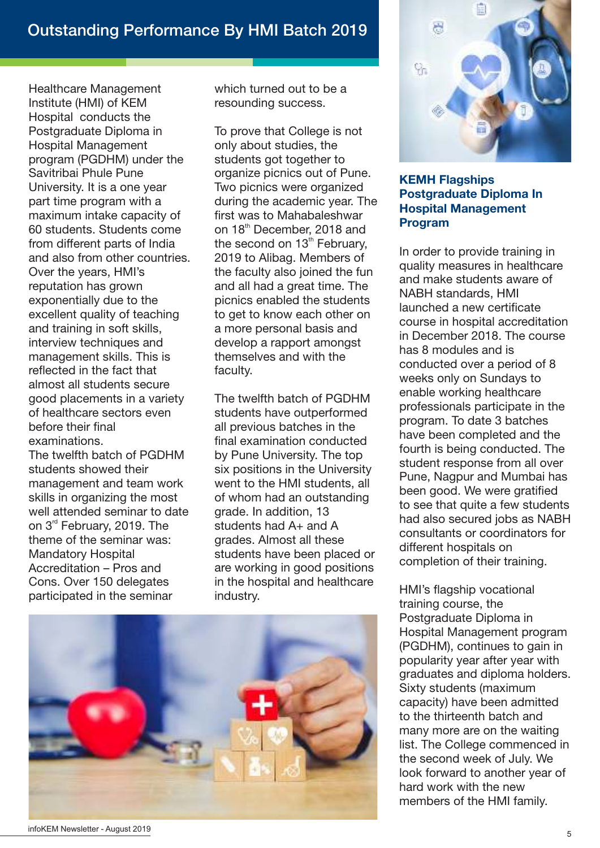Healthcare Management Institute (HMI) of KEM Hospital conducts the Postgraduate Diploma in Hospital Management program (PGDHM) under the Savitribai Phule Pune University. It is a one year part time program with a maximum intake capacity of 60 students. Students come from different parts of India and also from other countries. Over the years, HMI's reputation has grown exponentially due to the excellent quality of teaching and training in soft skills, interview techniques and management skills. This is reflected in the fact that almost all students secure good placements in a variety of healthcare sectors even before their final examinations.

The twelfth batch of PGDHM students showed their management and team work skills in organizing the most well attended seminar to date on 3<sup>rd</sup> February, 2019. The theme of the seminar was: Mandatory Hospital Accreditation – Pros and Cons. Over 150 delegates participated in the seminar

which turned out to be a resounding success.

To prove that College is not only about studies, the students got together to organize picnics out of Pune. Two picnics were organized during the academic year. The first was to Mahabaleshwar on 18<sup>th</sup> December, 2018 and the second on  $13<sup>th</sup>$  February. 2019 to Alibag. Members of the faculty also joined the fun and all had a great time. The picnics enabled the students to get to know each other on a more personal basis and develop a rapport amongst themselves and with the faculty.

The twelfth batch of PGDHM students have outperformed all previous batches in the final examination conducted by Pune University. The top six positions in the University went to the HMI students, all of whom had an outstanding grade. In addition, 13 students had A+ and A grades. Almost all these students have been placed or are working in good positions in the hospital and healthcare industry.



#### KEMH Flagships Postgraduate Diploma In Hospital Management Program

In order to provide training in quality measures in healthcare and make students aware of NABH standards, HMI launched a new certificate course in hospital accreditation in December 2018. The course has 8 modules and is conducted over a period of 8 weeks only on Sundays to enable working healthcare professionals participate in the program. To date 3 batches have been completed and the fourth is being conducted. The student response from all over Pune, Nagpur and Mumbai has been good. We were gratified to see that quite a few students had also secured jobs as NABH consultants or coordinators for different hospitals on completion of their training.

HMI's flagship vocational training course, the Postgraduate Diploma in Hospital Management program (PGDHM), continues to gain in popularity year after year with graduates and diploma holders. Sixty students (maximum capacity) have been admitted to the thirteenth batch and many more are on the waiting list. The College commenced in the second week of July. We look forward to another year of hard work with the new members of the HMI family.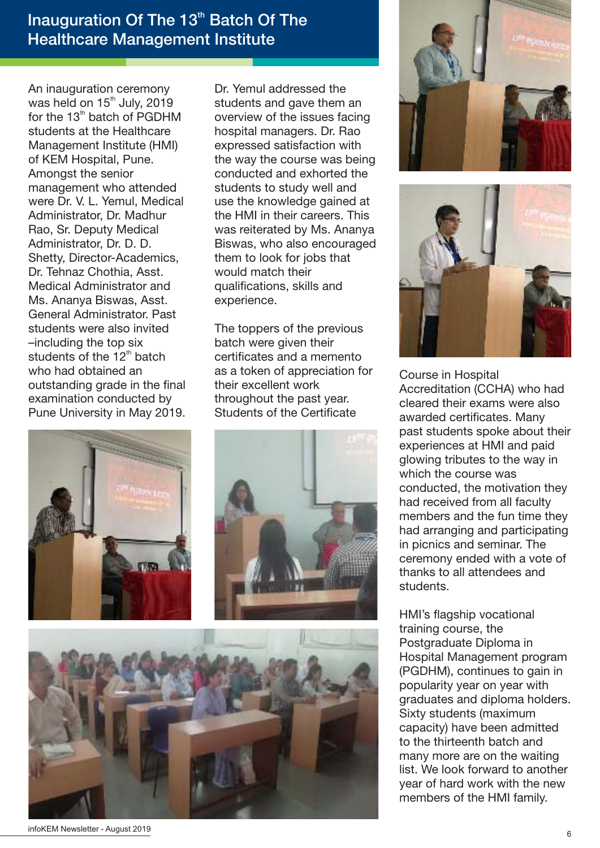#### Inauguration Of The 13<sup>th</sup> Batch Of The Healthcare Management Institute

An inauguration ceremony was held on 15<sup>th</sup> July, 2019 for the  $13<sup>th</sup>$  batch of PGDHM students at the Healthcare Management Institute (HMI) of KEM Hospital, Pune. Amongst the senior management who attended were Dr. V. L. Yemul, Medical Administrator, Dr. Madhur Rao, Sr. Deputy Medical Administrator, Dr. D. D. Shetty, Director-Academics, Dr. Tehnaz Chothia, Asst. Medical Administrator and Ms. Ananya Biswas, Asst. General Administrator. Past students were also invited –including the top six students of the  $12<sup>th</sup>$  batch who had obtained an outstanding grade in the final examination conducted by Pune University in May 2019. Dr. Yemul addressed the students and gave them an overview of the issues facing hospital managers. Dr. Rao expressed satisfaction with the way the course was being conducted and exhorted the students to study well and use the knowledge gained at the HMI in their careers. This was reiterated by Ms. Ananya Biswas, who also encouraged them to look for jobs that would match their qualifications, skills and experience.

The toppers of the previous batch were given their certificates and a memento as a token of appreciation for their excellent work throughout the past year. Students of the Certificate





Accreditation (CCHA) who had cleared their exams were also awarded certificates. Many past students spoke about their experiences at HMI and paid glowing tributes to the way in which the course was conducted, the motivation they had received from all faculty members and the fun time they had arranging and participating in picnics and seminar. The ceremony ended with a vote of thanks to all attendees and students.

HMI's flagship vocational training course, the Postgraduate Diploma in Hospital Management program (PGDHM), continues to gain in popularity year on year with graduates and diploma holders. Sixty students (maximum capacity) have been admitted to the thirteenth batch and many more are on the waiting list. We look forward to another year of hard work with the new members of the HMI family.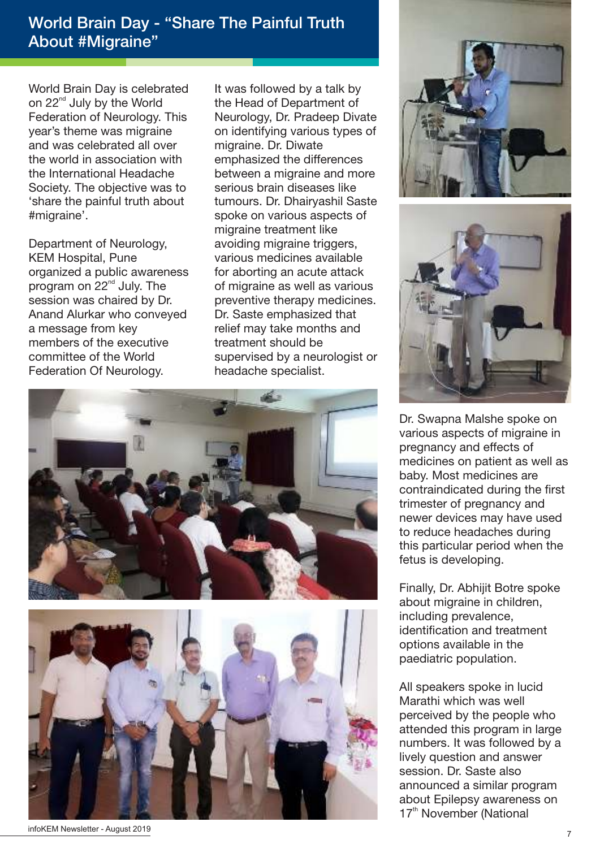#### World Brain Day - "Share The Painful Truth About #Migraine"

World Brain Day is celebrated on  $22<sup>nd</sup>$  July by the World Federation of Neurology. This year's theme was migraine and was celebrated all over the world in association with the International Headache Society. The objective was to 'share the painful truth about #migraine'.

Department of Neurology, KEM Hospital, Pune organized a public awareness program on  $22<sup>nd</sup>$  July. The session was chaired by Dr. Anand Alurkar who conveyed a message from key members of the executive committee of the World Federation Of Neurology.

It was followed by a talk by the Head of Department of Neurology, Dr. Pradeep Divate on identifying various types of migraine. Dr. Diwate emphasized the differences between a migraine and more serious brain diseases like tumours. Dr. Dhairyashil Saste spoke on various aspects of migraine treatment like avoiding migraine triggers, various medicines available for aborting an acute attack of migraine as well as various preventive therapy medicines. Dr. Saste emphasized that relief may take months and treatment should be supervised by a neurologist or headache specialist.





infoKEM Newsletter - August 2019





Dr. Swapna Malshe spoke on various aspects of migraine in pregnancy and effects of medicines on patient as well as baby. Most medicines are contraindicated during the first trimester of pregnancy and newer devices may have used to reduce headaches during this particular period when the fetus is developing.

Finally, Dr. Abhijit Botre spoke about migraine in children, including prevalence, identification and treatment options available in the paediatric population.

All speakers spoke in lucid Marathi which was well perceived by the people who attended this program in large numbers. It was followed by a lively question and answer session. Dr. Saste also announced a similar program about Epilepsy awareness on 17<sup>th</sup> November (National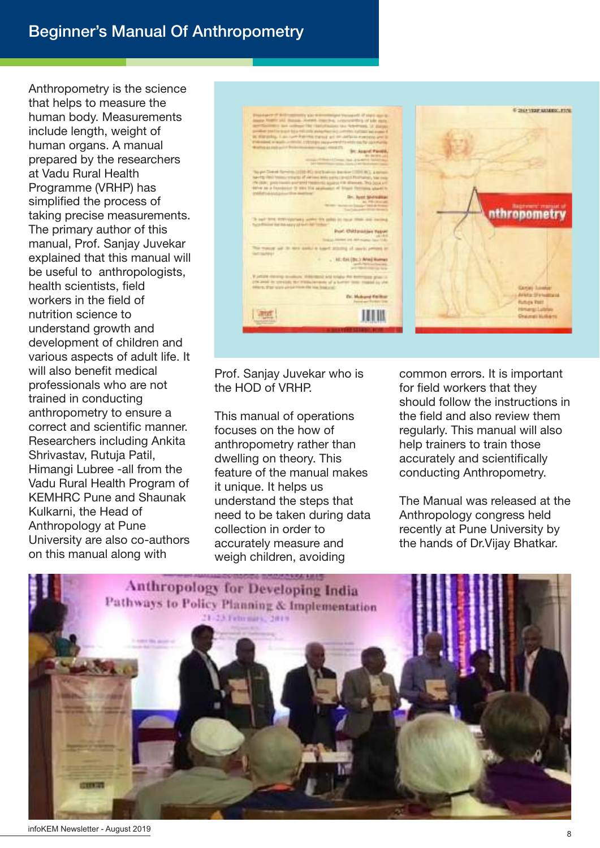#### Beginner's Manual Of Anthropometry

Anthropometry is the science that helps to measure the human body. Measurements include length, weight of human organs. A manual prepared by the researchers at Vadu Rural Health Programme (VRHP) has simplified the process of taking precise measurements. The primary author of this manual, Prof. Sanjay Juvekar explained that this manual will be useful to anthropologists, health scientists, field workers in the field of nutrition science to understand growth and development of children and various aspects of adult life. It will also benefit medical professionals who are not trained in conducting anthropometry to ensure a correct and scientific manner. Researchers including Ankita Shrivastav, Rutuja Patil, Himangi Lubree -all from the Vadu Rural Health Program of KEMHRC Pune and Shaunak Kulkarni, the Head of Anthropology at Pune University are also co-authors on this manual along with



#### Prof. Sanjay Juvekar who is the HOD of VRHP.

This manual of operations focuses on the how of anthropometry rather than dwelling on theory. This feature of the manual makes it unique. It helps us understand the steps that need to be taken during data collection in order to accurately measure and weigh children, avoiding

common errors. It is important for field workers that they should follow the instructions in the field and also review them regularly. This manual will also help trainers to train those accurately and scientifically conducting Anthropometry.

The Manual was released at the Anthropology congress held recently at Pune University by the hands of Dr.Vijay Bhatkar.

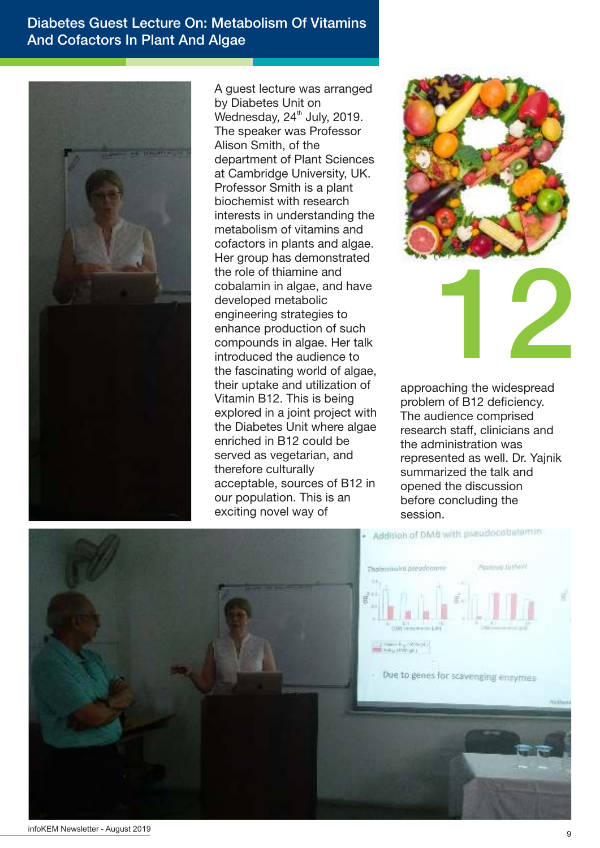#### Diabetes Guest Lecture On: Metabolism Of Vitamins And Cofactors In Plant And Algae



A guest lecture was arranged by Diabetes Unit on Wednesday,  $24<sup>th</sup>$  July, 2019. The speaker was Professor Alison Smith, of the department of Plant Sciences at Cambridge University, UK. Professor Smith is a plant biochemist with research interests in understanding the metabolism of vitamins and cofactors in plants and algae. Her group has demonstrated the role of thiamine and cobalamin in algae, and have developed metabolic engineering strategies to enhance production of such compounds in algae. Her talk introduced the audience to the fascinating world of algae, their uptake and utilization of Vitamin B12. This is being explored in a joint project with the Diabetes Unit where algae enriched in B12 could be served as vegetarian, and therefore culturally acceptable, sources of B12 in our population. This is an exciting novel way of



approaching the widespread problem of B12 deficiency. The audience comprised research staff, clinicians and the administration was represented as well. Dr. Yajnik summarized the talk and opened the discussion before concluding the session.

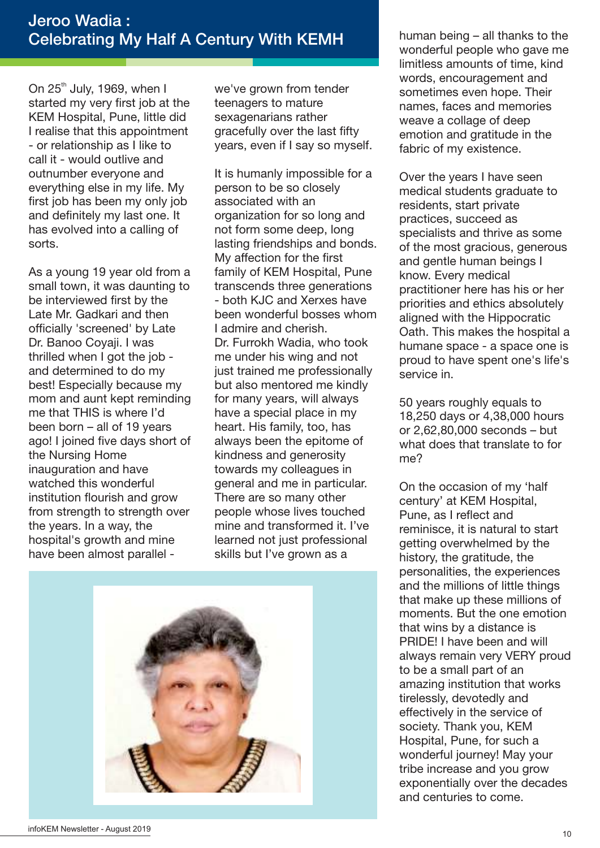On  $25<sup>th</sup>$  July, 1969, when I started my very first job at the KEM Hospital, Pune, little did I realise that this appointment - or relationship as I like to call it - would outlive and outnumber everyone and everything else in my life. My first job has been my only job and definitely my last one. It has evolved into a calling of sorts.

As a young 19 year old from a small town, it was daunting to be interviewed first by the Late Mr. Gadkari and then officially 'screened' by Late Dr. Banoo Coyaji. I was thrilled when I got the job and determined to do my best! Especially because my mom and aunt kept reminding me that THIS is where I'd been born – all of 19 years ago! I joined five days short of the Nursing Home inauguration and have watched this wonderful institution flourish and grow from strength to strength over the years. In a way, the hospital's growth and mine have been almost parallel -

we've grown from tender teenagers to mature sexagenarians rather gracefully over the last fifty years, even if I say so myself.

It is humanly impossible for a person to be so closely associated with an organization for so long and not form some deep, long lasting friendships and bonds. My affection for the first family of KEM Hospital, Pune transcends three generations - both KJC and Xerxes have been wonderful bosses whom I admire and cherish. Dr. Furrokh Wadia, who took me under his wing and not just trained me professionally but also mentored me kindly for many years, will always have a special place in my heart. His family, too, has always been the epitome of kindness and generosity towards my colleagues in general and me in particular. There are so many other people whose lives touched mine and transformed it. I've learned not just professional skills but I've grown as a



human being – all thanks to the wonderful people who gave me limitless amounts of time, kind words, encouragement and sometimes even hope. Their names, faces and memories weave a collage of deep emotion and gratitude in the fabric of my existence.

Over the years I have seen medical students graduate to residents, start private practices, succeed as specialists and thrive as some of the most gracious, generous and gentle human beings I know. Every medical practitioner here has his or her priorities and ethics absolutely aligned with the Hippocratic Oath. This makes the hospital a humane space - a space one is proud to have spent one's life's service in.

50 years roughly equals to 18,250 days or 4,38,000 hours or 2,62,80,000 seconds – but what does that translate to for me?

On the occasion of my 'half century' at KEM Hospital, Pune, as I reflect and reminisce, it is natural to start getting overwhelmed by the history, the gratitude, the personalities, the experiences and the millions of little things that make up these millions of moments. But the one emotion that wins by a distance is PRIDE! I have been and will always remain very VERY proud to be a small part of an amazing institution that works tirelessly, devotedly and effectively in the service of society. Thank you, KEM Hospital, Pune, for such a wonderful journey! May your tribe increase and you grow exponentially over the decades and centuries to come.